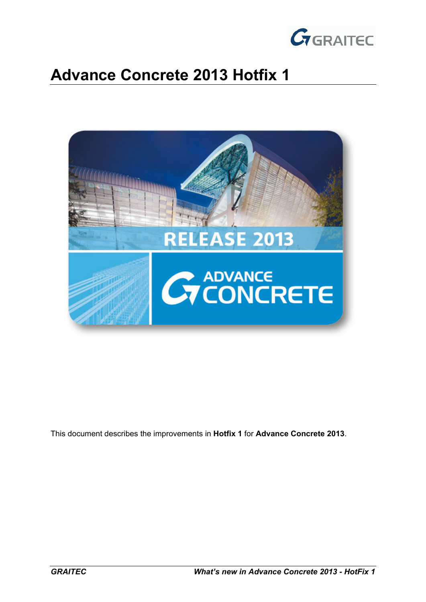

# **Advance Concrete 2013 Hotfix 1**



This document describes the improvements in **Hotfix 1** for **Advance Concrete 2013**.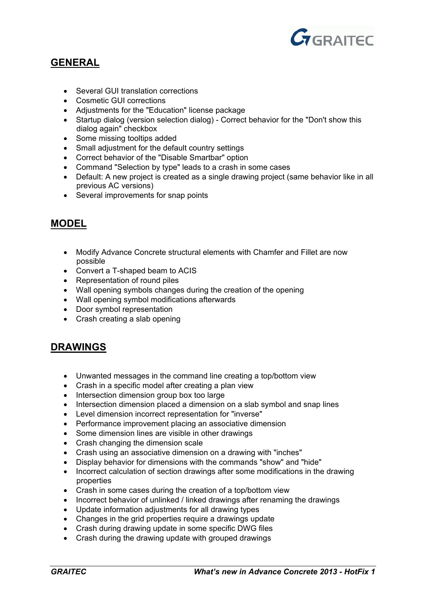

## **GENERAL**

- Several GUI translation corrections
- Cosmetic GUI corrections
- Adjustments for the "Education" license package
- Startup dialog (version selection dialog) Correct behavior for the "Don't show this dialog again" checkbox
- Some missing tooltips added
- Small adjustment for the default country settings
- Correct behavior of the "Disable Smartbar" option
- Command "Selection by type" leads to a crash in some cases
- Default: A new project is created as a single drawing project (same behavior like in all previous AC versions)
- Several improvements for snap points

## **MODEL**

- Modify Advance Concrete structural elements with Chamfer and Fillet are now possible
- Convert a T-shaped beam to ACIS
- Representation of round piles
- Wall opening symbols changes during the creation of the opening
- Wall opening symbol modifications afterwards
- Door symbol representation
- Crash creating a slab opening

## **DRAWINGS**

- Unwanted messages in the command line creating a top/bottom view
- Crash in a specific model after creating a plan view
- Intersection dimension group box too large
- Intersection dimension placed a dimension on a slab symbol and snap lines
- Level dimension incorrect representation for "inverse"
- Performance improvement placing an associative dimension
- Some dimension lines are visible in other drawings
- Crash changing the dimension scale
- Crash using an associative dimension on a drawing with "inches"
- Display behavior for dimensions with the commands "show" and "hide"
- Incorrect calculation of section drawings after some modifications in the drawing properties
- Crash in some cases during the creation of a top/bottom view
- Incorrect behavior of unlinked / linked drawings after renaming the drawings
- Update information adjustments for all drawing types
- Changes in the grid properties require a drawings update
- Crash during drawing update in some specific DWG files
- Crash during the drawing update with grouped drawings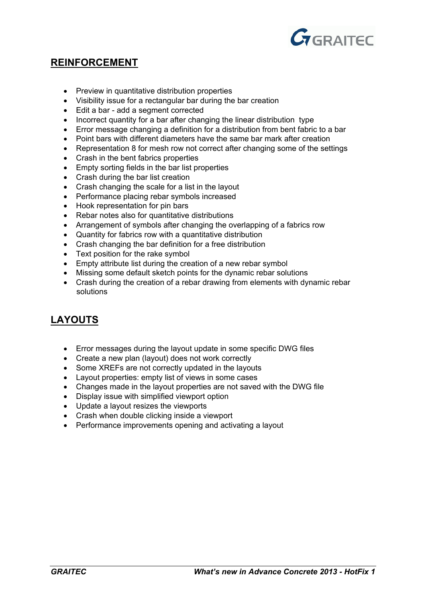

#### **REINFORCEMENT**

- Preview in quantitative distribution properties
- Visibility issue for a rectangular bar during the bar creation
- Edit a bar add a segment corrected
- Incorrect quantity for a bar after changing the linear distribution type
- Error message changing a definition for a distribution from bent fabric to a bar
- Point bars with different diameters have the same bar mark after creation
- Representation 8 for mesh row not correct after changing some of the settings
- Crash in the bent fabrics properties
- Empty sorting fields in the bar list properties
- Crash during the bar list creation
- Crash changing the scale for a list in the layout
- Performance placing rebar symbols increased
- Hook representation for pin bars
- Rebar notes also for quantitative distributions
- Arrangement of symbols after changing the overlapping of a fabrics row
- Quantity for fabrics row with a quantitative distribution
- Crash changing the bar definition for a free distribution
- Text position for the rake symbol
- Empty attribute list during the creation of a new rebar symbol
- Missing some default sketch points for the dynamic rebar solutions
- Crash during the creation of a rebar drawing from elements with dynamic rebar solutions

## **LAYOUTS**

- Error messages during the layout update in some specific DWG files
- Create a new plan (layout) does not work correctly
- Some XREFs are not correctly updated in the layouts
- Layout properties: empty list of views in some cases
- Changes made in the layout properties are not saved with the DWG file
- Display issue with simplified viewport option
- Update a layout resizes the viewports
- Crash when double clicking inside a viewport
- Performance improvements opening and activating a layout